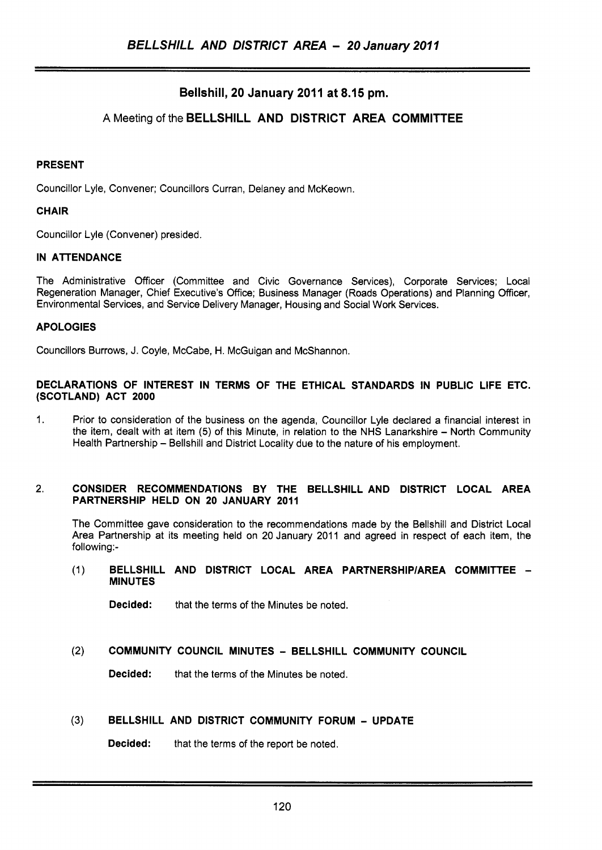# Bellshill, 20 January 2011 at 8.15 pm.

## A Meeting of the BELLSHILL AND DISTRICT AREA COMMITTEE

#### PRESENT

Councillor Lyle, Convener; Councillors Curran, Delaney and McKeown.

### **CHAIR**

Councillor Lyle (Convener) presided.

### IN ATTENDANCE

The Administrative Officer (Committee and Civic Governance Services), Corporate Services; Local Regeneration Manager, Chief Executive's Office; Business Manager (Roads Operations) and Planning Officer, Environmental Services, and Service Delivery Manager, Housing and Social Work Services.

## APOLOGIES

Councillors Burrows, J. Coyle, McCabe, H. McGuigan and McShannon.

#### DECLARATIONS OF INTEREST IN TERMS OF THE ETHICAL STANDARDS IN PUBLIC LIFE ETC. (SCOTLAND) ACT **2000**

1. Prior to consideration of the business on the agenda, Councillor Lyle declared a financial interest in the item, dealt with at item (5) of this Minute, in relation to the NHS Lanarkshire - North Community Health Partnership - Bellshill and District Locality due to the nature of his employment.

#### 2. CONSIDER RECOMMENDATIONS BY THE BELLSHILL AND DISTRICT LOCAL AREA PARTNERSHIP HELD ON 20 JANUARY **2011**

The Committee gave consideration to the recommendations made by the Bellshill and District Local Area Partnership at its meeting held on 20 January 2011 and agreed in respect of each item, the following:-

(1) BELLSHILL AND DISTRICT LOCAL AREA PARTNERSHIP/AREA COMMITTEE -MINUTES

Decided: that the terms of the Minutes be noted.

## (2) COMMUNITY COUNCIL MINUTES - BELLSHILL COMMUNITY COUNCIL

**Decided:** that the terms of the Minutes be noted.

#### **(3)** BELLSHILL AND DISTRICT COMMUNITY FORUM - UPDATE

Decided: that the terms of the report be noted.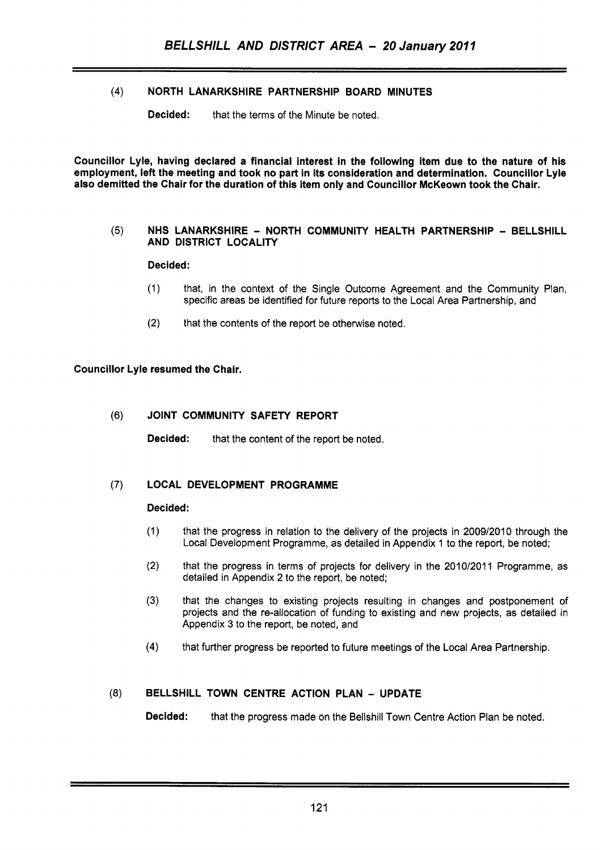## **(4)** NORTH LANARKSHIRE PARTNERSHIP BOARD MINUTES

**Decided:** that the terms of the Minute be noted.

Councillor Lyle, having declared a financial interest in the following item due to the nature of his employment, left the meeting and took no part in its consideration and determination. Councillor Lyle also demitted the Chair for the duration of this item only and Councillor McKeown took the Chair.

#### **(5)** NHS LANARKSHIRE - NORTH COMMUNITY HEALTH PARTNERSHIP - BELLSHILL AND DISTRICT LOCALITY

### Decided:

- (1) that, in the context of the Single Outcome Agreement and the Community Plan, specific areas be identified for future reports to the Local Area Partnership, and
- (2) that the contents of the report be otherwise noted.

### Councillor Lyle resumed the Chair.

### (6) JOINT COMMUNITY SAFETY REPORT

**Decided:** that the content of the report be noted.

## (7) LOCAL DEVELOPMENT PROGRAMME

#### Decided:

- (1) that the progress in relation to the delivery of the projects in 2009/2010 through the Local Development Programme, as detailed in Appendix 1 to the report, be noted;
- (2) that the progress in terms of projects for delivery in the 2010/2011 Programme, as detailed in Appendix 2 to the report, be noted;
- **(3)** that the changes to existing projects resulting in changes and postponement of projects and the re-allocation of funding to existing and new projects, as detailed in Appendix 3 to the report, be noted, and
- **(4)** that further progress be reported to future meetings of the Local Area Partnership.

## *(8)* BELLSHILL TOWN CENTRE ACTION PLAN - UPDATE

Decided: that the progress made on the Bellshill Town Centre Action Plan be noted.